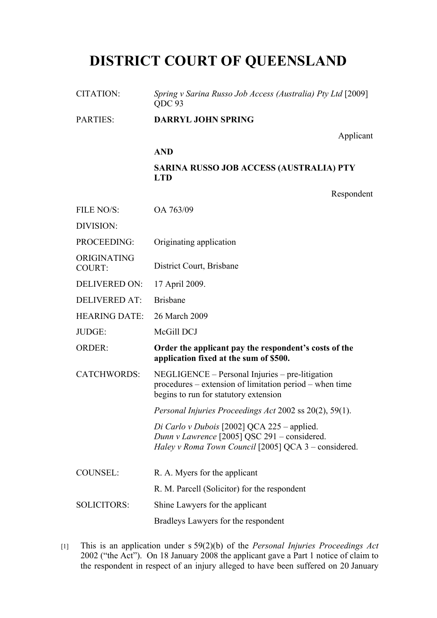## **DISTRICT COURT OF QUEENSLAND**

| <b>CITATION:</b>             | Spring v Sarina Russo Job Access (Australia) Pty Ltd [2009]<br>QDC 93                                                                               |
|------------------------------|-----------------------------------------------------------------------------------------------------------------------------------------------------|
| <b>PARTIES:</b>              | <b>DARRYL JOHN SPRING</b>                                                                                                                           |
|                              | Applicant                                                                                                                                           |
|                              | <b>AND</b>                                                                                                                                          |
|                              | <b>SARINA RUSSO JOB ACCESS (AUSTRALIA) PTY</b><br><b>LTD</b>                                                                                        |
|                              | Respondent                                                                                                                                          |
| FILE NO/S:                   | OA 763/09                                                                                                                                           |
| DIVISION:                    |                                                                                                                                                     |
| PROCEEDING:                  | Originating application                                                                                                                             |
| ORIGINATING<br><b>COURT:</b> | District Court, Brisbane                                                                                                                            |
| <b>DELIVERED ON:</b>         | 17 April 2009.                                                                                                                                      |
| <b>DELIVERED AT:</b>         | <b>Brisbane</b>                                                                                                                                     |
| <b>HEARING DATE:</b>         | 26 March 2009                                                                                                                                       |
| JUDGE:                       | McGill DCJ                                                                                                                                          |
| <b>ORDER:</b>                | Order the applicant pay the respondent's costs of the<br>application fixed at the sum of \$500.                                                     |
| <b>CATCHWORDS:</b>           | NEGLIGENCE – Personal Injuries – pre-litigation<br>procedures – extension of limitation period – when time<br>begins to run for statutory extension |
|                              | Personal Injuries Proceedings Act 2002 ss 20(2), 59(1).                                                                                             |
|                              | Di Carlo v Dubois [2002] QCA 225 - applied.<br>Dunn v Lawrence [2005] QSC 291 – considered.<br>Haley v Roma Town Council [2005] QCA 3 – considered. |
| <b>COUNSEL:</b>              | R. A. Myers for the applicant                                                                                                                       |
|                              | R. M. Parcell (Solicitor) for the respondent                                                                                                        |
| <b>SOLICITORS:</b>           | Shine Lawyers for the applicant                                                                                                                     |
|                              | Bradleys Lawyers for the respondent                                                                                                                 |

[1] This is an application under s 59(2)(b) of the *Personal Injuries Proceedings Act* 2002 ("the Act"). On 18 January 2008 the applicant gave a Part 1 notice of claim to the respondent in respect of an injury alleged to have been suffered on 20 January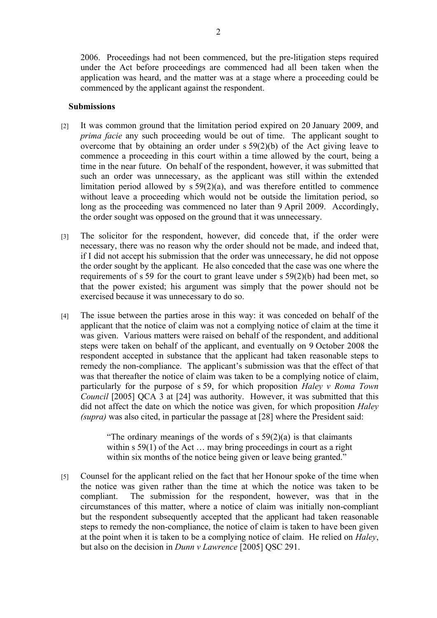2006. Proceedings had not been commenced, but the pre-litigation steps required under the Act before proceedings are commenced had all been taken when the application was heard, and the matter was at a stage where a proceeding could be commenced by the applicant against the respondent.

## **Submissions**

- [2] It was common ground that the limitation period expired on 20 January 2009, and *prima facie* any such proceeding would be out of time. The applicant sought to overcome that by obtaining an order under s 59(2)(b) of the Act giving leave to commence a proceeding in this court within a time allowed by the court, being a time in the near future. On behalf of the respondent, however, it was submitted that such an order was unnecessary, as the applicant was still within the extended limitation period allowed by  $s 59(2)(a)$ , and was therefore entitled to commence without leave a proceeding which would not be outside the limitation period, so long as the proceeding was commenced no later than 9 April 2009. Accordingly, the order sought was opposed on the ground that it was unnecessary.
- [3] The solicitor for the respondent, however, did concede that, if the order were necessary, there was no reason why the order should not be made, and indeed that, if I did not accept his submission that the order was unnecessary, he did not oppose the order sought by the applicant. He also conceded that the case was one where the requirements of s 59 for the court to grant leave under s 59(2)(b) had been met, so that the power existed; his argument was simply that the power should not be exercised because it was unnecessary to do so.
- [4] The issue between the parties arose in this way: it was conceded on behalf of the applicant that the notice of claim was not a complying notice of claim at the time it was given. Various matters were raised on behalf of the respondent, and additional steps were taken on behalf of the applicant, and eventually on 9 October 2008 the respondent accepted in substance that the applicant had taken reasonable steps to remedy the non-compliance. The applicant's submission was that the effect of that was that thereafter the notice of claim was taken to be a complying notice of claim, particularly for the purpose of s 59, for which proposition *Haley v Roma Town Council* [2005] QCA 3 at [24] was authority. However, it was submitted that this did not affect the date on which the notice was given, for which proposition *Haley (supra)* was also cited, in particular the passage at [28] where the President said:

"The ordinary meanings of the words of  $s 59(2)(a)$  is that claimants within s 59(1) of the Act ... may bring proceedings in court as a right within six months of the notice being given or leave being granted."

[5] Counsel for the applicant relied on the fact that her Honour spoke of the time when the notice was given rather than the time at which the notice was taken to be compliant. The submission for the respondent, however, was that in the circumstances of this matter, where a notice of claim was initially non-compliant but the respondent subsequently accepted that the applicant had taken reasonable steps to remedy the non-compliance, the notice of claim is taken to have been given at the point when it is taken to be a complying notice of claim. He relied on *Haley*, but also on the decision in *Dunn v Lawrence* [2005] QSC 291.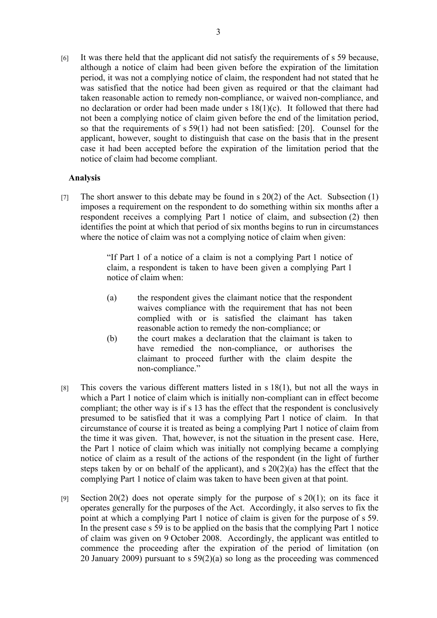[6] It was there held that the applicant did not satisfy the requirements of s 59 because, although a notice of claim had been given before the expiration of the limitation period, it was not a complying notice of claim, the respondent had not stated that he was satisfied that the notice had been given as required or that the claimant had taken reasonable action to remedy non-compliance, or waived non-compliance, and no declaration or order had been made under s 18(1)(c). It followed that there had not been a complying notice of claim given before the end of the limitation period, so that the requirements of s 59(1) had not been satisfied: [20]. Counsel for the applicant, however, sought to distinguish that case on the basis that in the present case it had been accepted before the expiration of the limitation period that the notice of claim had become compliant.

## **Analysis**

[7] The short answer to this debate may be found in s  $20(2)$  of the Act. Subsection (1) imposes a requirement on the respondent to do something within six months after a respondent receives a complying Part 1 notice of claim, and subsection (2) then identifies the point at which that period of six months begins to run in circumstances where the notice of claim was not a complying notice of claim when given:

> "If Part 1 of a notice of a claim is not a complying Part 1 notice of claim, a respondent is taken to have been given a complying Part 1 notice of claim when:

- (a) the respondent gives the claimant notice that the respondent waives compliance with the requirement that has not been complied with or is satisfied the claimant has taken reasonable action to remedy the non-compliance; or
- (b) the court makes a declaration that the claimant is taken to have remedied the non-compliance, or authorises the claimant to proceed further with the claim despite the non-compliance."
- [8] This covers the various different matters listed in s 18(1), but not all the ways in which a Part 1 notice of claim which is initially non-compliant can in effect become compliant; the other way is if s 13 has the effect that the respondent is conclusively presumed to be satisfied that it was a complying Part 1 notice of claim. In that circumstance of course it is treated as being a complying Part 1 notice of claim from the time it was given. That, however, is not the situation in the present case. Here, the Part 1 notice of claim which was initially not complying became a complying notice of claim as a result of the actions of the respondent (in the light of further steps taken by or on behalf of the applicant), and  $s \, 20(2)(a)$  has the effect that the complying Part 1 notice of claim was taken to have been given at that point.
- [9] Section 20(2) does not operate simply for the purpose of  $s$  20(1); on its face it operates generally for the purposes of the Act. Accordingly, it also serves to fix the point at which a complying Part 1 notice of claim is given for the purpose of s 59. In the present case s 59 is to be applied on the basis that the complying Part 1 notice of claim was given on 9 October 2008. Accordingly, the applicant was entitled to commence the proceeding after the expiration of the period of limitation (on 20 January 2009) pursuant to s 59(2)(a) so long as the proceeding was commenced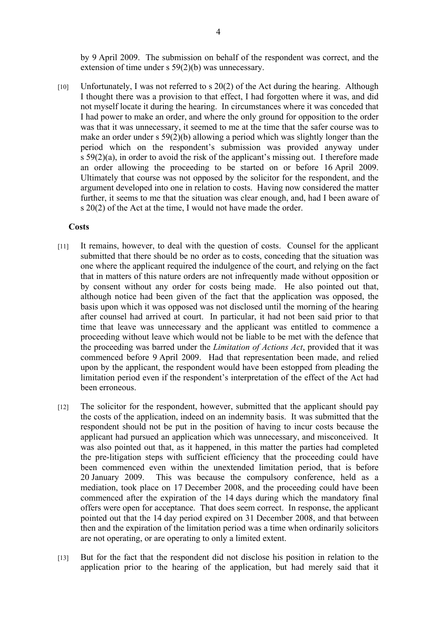by 9 April 2009. The submission on behalf of the respondent was correct, and the extension of time under s 59(2)(b) was unnecessary.

[10] Unfortunately, I was not referred to s 20(2) of the Act during the hearing. Although I thought there was a provision to that effect, I had forgotten where it was, and did not myself locate it during the hearing. In circumstances where it was conceded that I had power to make an order, and where the only ground for opposition to the order was that it was unnecessary, it seemed to me at the time that the safer course was to make an order under s 59(2)(b) allowing a period which was slightly longer than the period which on the respondent's submission was provided anyway under s 59(2)(a), in order to avoid the risk of the applicant's missing out. I therefore made an order allowing the proceeding to be started on or before 16 April 2009. Ultimately that course was not opposed by the solicitor for the respondent, and the argument developed into one in relation to costs. Having now considered the matter further, it seems to me that the situation was clear enough, and, had I been aware of s 20(2) of the Act at the time, I would not have made the order.

## **Costs**

- [11] It remains, however, to deal with the question of costs. Counsel for the applicant submitted that there should be no order as to costs, conceding that the situation was one where the applicant required the indulgence of the court, and relying on the fact that in matters of this nature orders are not infrequently made without opposition or by consent without any order for costs being made. He also pointed out that, although notice had been given of the fact that the application was opposed, the basis upon which it was opposed was not disclosed until the morning of the hearing after counsel had arrived at court. In particular, it had not been said prior to that time that leave was unnecessary and the applicant was entitled to commence a proceeding without leave which would not be liable to be met with the defence that the proceeding was barred under the *Limitation of Actions Act*, provided that it was commenced before 9 April 2009. Had that representation been made, and relied upon by the applicant, the respondent would have been estopped from pleading the limitation period even if the respondent's interpretation of the effect of the Act had been erroneous.
- [12] The solicitor for the respondent, however, submitted that the applicant should pay the costs of the application, indeed on an indemnity basis. It was submitted that the respondent should not be put in the position of having to incur costs because the applicant had pursued an application which was unnecessary, and misconceived. It was also pointed out that, as it happened, in this matter the parties had completed the pre-litigation steps with sufficient efficiency that the proceeding could have been commenced even within the unextended limitation period, that is before 20 January 2009. This was because the compulsory conference, held as a mediation, took place on 17 December 2008, and the proceeding could have been commenced after the expiration of the 14 days during which the mandatory final offers were open for acceptance. That does seem correct. In response, the applicant pointed out that the 14 day period expired on 31 December 2008, and that between then and the expiration of the limitation period was a time when ordinarily solicitors are not operating, or are operating to only a limited extent.
- [13] But for the fact that the respondent did not disclose his position in relation to the application prior to the hearing of the application, but had merely said that it